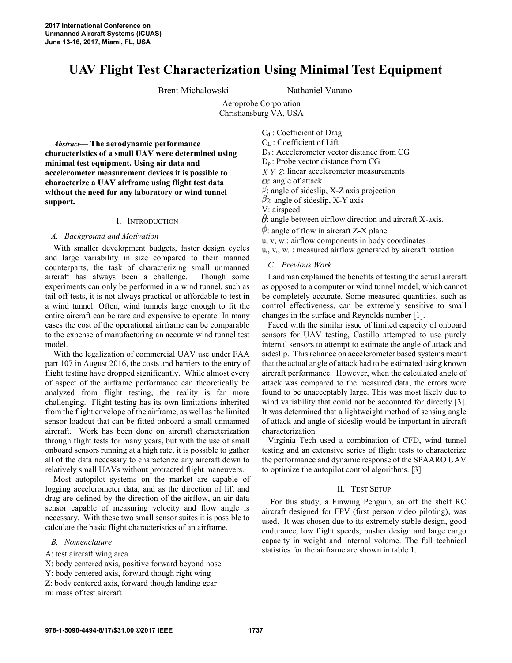# **UAV Flight Test Characterization Using Minimal Test Equipment**

Brent Michalowski Nathaniel Varano

Aeroprobe Corporation Christiansburg VA, USA

*Abstract*— **The aerodynamic performance characteristics of a small UAV were determined using minimal test equipment. Using air data and accelerometer measurement devices it is possible to characterize a UAV airframe using flight test data without the need for any laboratory or wind tunnel support.**

#### I. INTRODUCTION

#### *A. Background and Motivation*

With smaller development budgets, faster design cycles and large variability in size compared to their manned counterparts, the task of characterizing small unmanned aircraft has always been a challenge. Though some experiments can only be performed in a wind tunnel, such as tail off tests, it is not always practical or affordable to test in a wind tunnel. Often, wind tunnels large enough to fit the entire aircraft can be rare and expensive to operate. In many cases the cost of the operational airframe can be comparable to the expense of manufacturing an accurate wind tunnel test model.

With the legalization of commercial UAV use under FAA part 107 in August 2016, the costs and barriers to the entry of flight testing have dropped significantly. While almost every of aspect of the airframe performance can theoretically be analyzed from flight testing, the reality is far more challenging. Flight testing has its own limitations inherited from the flight envelope of the airframe, as well as the limited sensor loadout that can be fitted onboard a small unmanned aircraft. Work has been done on aircraft characterization through flight tests for many years, but with the use of small onboard sensors running at a high rate, it is possible to gather all of the data necessary to characterize any aircraft down to relatively small UAVs without protracted flight maneuvers.

Most autopilot systems on the market are capable of logging accelerometer data, and as the direction of lift and drag are defined by the direction of the airflow, an air data sensor capable of measuring velocity and flow angle is necessary. With these two small sensor suites it is possible to calculate the basic flight characteristics of an airframe.

#### *B. Nomenclature*

A: test aircraft wing area

X: body centered axis, positive forward beyond nose

Y: body centered axis, forward though right wing

Z: body centered axis, forward though landing gear

m: mass of test aircraft

C<sub>d</sub>: Coefficient of Drag C<sup>L</sup> : Coefficient of Lift Da : Accelerometer vector distance from CG Dp : Probe vector distance from CG  $\ddot{X} \ddot{Y} \ddot{Z}$ : linear accelerometer measurements  $\alpha$ : angle of attack  $\beta$ : angle of sideslip, X-Z axis projection  $\beta_2$ : angle of sideslip, X-Y axis V: airspeed

 $\theta$ : angle between airflow direction and aircraft X-axis.

- $\varphi$ : angle of flow in aircraft Z-X plane
- u, v, w : airflow components in body coordinates

 $u_r$ ,  $v_r$ ,  $w_r$ : measured airflow generated by aircraft rotation

#### *C. Previous Work*

Landman explained the benefits of testing the actual aircraft as opposed to a computer or wind tunnel model, which cannot be completely accurate. Some measured quantities, such as control effectiveness, can be extremely sensitive to small changes in the surface and Reynolds number [1].

Faced with the similar issue of limited capacity of onboard sensors for UAV testing, Castillo attempted to use purely internal sensors to attempt to estimate the angle of attack and sideslip. This reliance on accelerometer based systems meant that the actual angle of attack had to be estimated using known aircraft performance. However, when the calculated angle of attack was compared to the measured data, the errors were found to be unacceptably large. This was most likely due to wind variability that could not be accounted for directly [3]. It was determined that a lightweight method of sensing angle of attack and angle of sideslip would be important in aircraft characterization.

Virginia Tech used a combination of CFD, wind tunnel testing and an extensive series of flight tests to characterize the performance and dynamic response of the SPAARO UAV to optimize the autopilot control algorithms. [3]

## II. TEST SETUP

For this study, a Finwing Penguin, an off the shelf RC aircraft designed for FPV (first person video piloting), was used. It was chosen due to its extremely stable design, good endurance, low flight speeds, pusher design and large cargo capacity in weight and internal volume. The full technical statistics for the airframe are shown in table 1.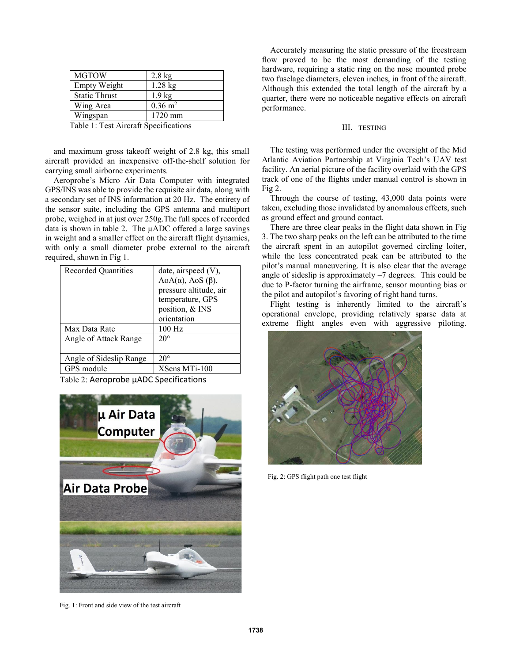| <b>MGTOW</b>         | $2.8$ kg               |
|----------------------|------------------------|
| <b>Empty Weight</b>  | $1.28$ kg              |
| <b>Static Thrust</b> | $1.9 \text{ kg}$       |
| Wing Area            | $0.36 \; \mathrm{m}^2$ |
| Wingspan             | 1720 mm                |
|                      |                        |

Table 1: Test Aircraft Specifications

and maximum gross takeoff weight of 2.8 kg, this small aircraft provided an inexpensive off-the-shelf solution for carrying small airborne experiments.

Aeroprobe's Micro Air Data Computer with integrated GPS/INS was able to provide the requisite air data, along with a secondary set of INS information at 20 Hz. The entirety of the sensor suite, including the GPS antenna and multiport probe, weighed in at just over 250g.The full specs of recorded data is shown in table 2. The µADC offered a large savings in weight and a smaller effect on the aircraft flight dynamics, with only a small diameter probe external to the aircraft required, shown in Fig 1.

| <b>Recorded Quantities</b> | date, airspeed $(V)$ ,<br>$AoA(\alpha)$ , AoS ( $\beta$ ),<br>pressure altitude, air<br>temperature, GPS<br>position, & INS<br>orientation |
|----------------------------|--------------------------------------------------------------------------------------------------------------------------------------------|
| Max Data Rate              | 100 Hz                                                                                                                                     |
| Angle of Attack Range      | $20^\circ$                                                                                                                                 |
| Angle of Sideslip Range    | $20^{\circ}$                                                                                                                               |
| GPS module                 | XSens MTi-100                                                                                                                              |

Table 2: Aeroprobe µADC Specifications



Fig. 1: Front and side view of the test aircraft

Accurately measuring the static pressure of the freestream flow proved to be the most demanding of the testing hardware, requiring a static ring on the nose mounted probe two fuselage diameters, eleven inches, in front of the aircraft. Although this extended the total length of the aircraft by a quarter, there were no noticeable negative effects on aircraft performance.

#### III. TESTING

The testing was performed under the oversight of the Mid Atlantic Aviation Partnership at Virginia Tech's UAV test facility. An aerial picture of the facility overlaid with the GPS track of one of the flights under manual control is shown in Fig 2.

Through the course of testing, 43,000 data points were taken, excluding those invalidated by anomalous effects, such as ground effect and ground contact.

There are three clear peaks in the flight data shown in Fig 3. The two sharp peaks on the left can be attributed to the time the aircraft spent in an autopilot governed circling loiter, while the less concentrated peak can be attributed to the pilot's manual maneuvering. It is also clear that the average angle of sideslip is approximately –7 degrees. This could be due to P-factor turning the airframe, sensor mounting bias or the pilot and autopilot's favoring of right hand turns.

Flight testing is inherently limited to the aircraft's operational envelope, providing relatively sparse data at extreme flight angles even with aggressive piloting.



Fig. 2: GPS flight path one test flight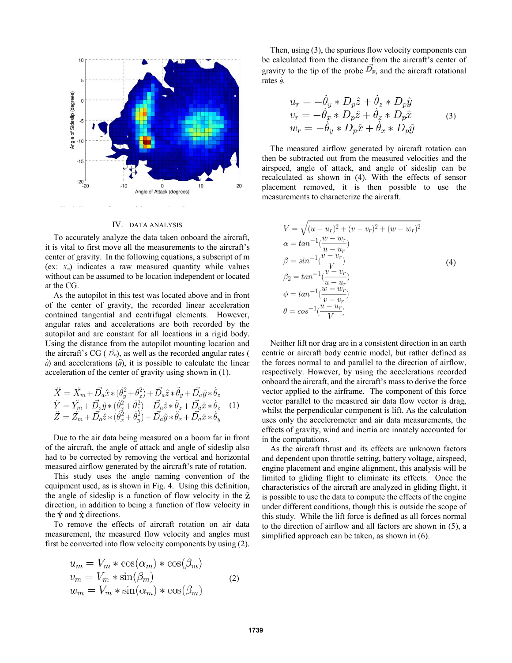

#### IV. DATA ANALYSIS

To accurately analyze the data taken onboard the aircraft, it is vital to first move all the measurements to the aircraft's center of gravity. In the following equations, a subscript of m (ex:  $\ddot{x}_m$ ) indicates a raw measured quantity while values without can be assumed to be location independent or located at the CG.

As the autopilot in this test was located above and in front of the center of gravity, the recorded linear acceleration contained tangential and centrifugal elements. However, angular rates and accelerations are both recorded by the autopilot and are constant for all locations in a rigid body. Using the distance from the autopilot mounting location and the aircraft's CG ( $\vec{D}_a$ ), as well as the recorded angular rates (  $\dot{\theta}$ ) and accelerations ( $\ddot{\theta}$ ), it is possible to calculate the linear acceleration of the center of gravity using shown in (1).

$$
\ddot{X} = \ddot{X}_m + \vec{D}_a \hat{x} * (\dot{\theta}_y^2 + \dot{\theta}_z^2) + \vec{D}_a \hat{z} * \ddot{\theta}_y + \vec{D}_a \hat{y} * \ddot{\theta}_z \n\ddot{Y} = \ddot{Y}_m + \vec{D}_a \hat{y} * (\dot{\theta}_x^2 + \dot{\theta}_z^2) + \vec{D}_a \hat{z} * \ddot{\theta}_x + \vec{D}_a \hat{x} * \ddot{\theta}_z \quad (1) \n\ddot{Z} = \ddot{Z}_m + \vec{D}_a \hat{z} * (\dot{\theta}_x^2 + \dot{\theta}_y^2) + \vec{D}_a \hat{y} * \ddot{\theta}_x + \vec{D}_a \hat{x} * \ddot{\theta}_y
$$

Due to the air data being measured on a boom far in front of the aircraft, the angle of attack and angle of sideslip also had to be corrected by removing the vertical and horizontal measured airflow generated by the aircraft's rate of rotation.

This study uses the angle naming convention of the equipment used, as is shown in Fig. 4. Using this definition, the angle of sideslip is a function of flow velocity in the  $\hat{z}$ direction, in addition to being a function of flow velocity in the  $\hat{Y}$  and  $\hat{X}$  directions.

To remove the effects of aircraft rotation on air data measurement, the measured flow velocity and angles must first be converted into flow velocity components by using (2).

$$
u_m = V_m * \cos(\alpha_m) * \cos(\beta_m)
$$
  
\n
$$
v_m = V_m * \sin(\beta_m)
$$
  
\n
$$
w_m = V_m * \sin(\alpha_m) * \cos(\beta_m)
$$
 (2)

Then, using (3), the spurious flow velocity components can be calculated from the distance from the aircraft's center of gravity to the tip of the probe  $\overrightarrow{D}_p$ , and the aircraft rotational rates  $\dot{\theta}$ .

$$
u_r = -\dot{\theta}_y * D_p \hat{z} + \dot{\theta}_z * D_p \hat{y}
$$
  
\n
$$
v_r = -\dot{\theta}_x * D_p \hat{z} + \dot{\theta}_z * D_p \hat{x}
$$
  
\n
$$
w_r = -\dot{\theta}_y * D_p \hat{x} + \dot{\theta}_x * D_p \hat{y}
$$
\n(3)

The measured airflow generated by aircraft rotation can then be subtracted out from the measured velocities and the airspeed, angle of attack, and angle of sideslip can be recalculated as shown in (4). With the effects of sensor placement removed, it is then possible to use the measurements to characterize the aircraft.

$$
V = \sqrt{(u - u_r)^2 + (v - v_r)^2 + (w - w_r)^2}
$$
  
\n
$$
\alpha = \tan^{-1}(\frac{w - w_r}{u - u_r})
$$
  
\n
$$
\beta = \sin^{-1}(\frac{v - v_r}{V})
$$
  
\n
$$
\beta_2 = \tan^{-1}(\frac{v - v_r}{u - u_r})
$$
  
\n
$$
\phi = \tan^{-1}(\frac{w - w_r}{v - v_r})
$$
  
\n
$$
\theta = \cos^{-1}(\frac{u - u_r}{V})
$$

Neither lift nor drag are in a consistent direction in an earth centric or aircraft body centric model, but rather defined as the forces normal to and parallel to the direction of airflow, respectively. However, by using the accelerations recorded onboard the aircraft, and the aircraft's mass to derive the force vector applied to the airframe. The component of this force vector parallel to the measured air data flow vector is drag, whilst the perpendicular component is lift. As the calculation uses only the accelerometer and air data measurements, the effects of gravity, wind and inertia are innately accounted for in the computations.

As the aircraft thrust and its effects are unknown factors and dependent upon throttle setting, battery voltage, airspeed, engine placement and engine alignment, this analysis will be limited to gliding flight to eliminate its effects. Once the characteristics of the aircraft are analyzed in gliding flight, it is possible to use the data to compute the effects of the engine under different conditions, though this is outside the scope of this study. While the lift force is defined as all forces normal to the direction of airflow and all factors are shown in (5), a simplified approach can be taken, as shown in (6).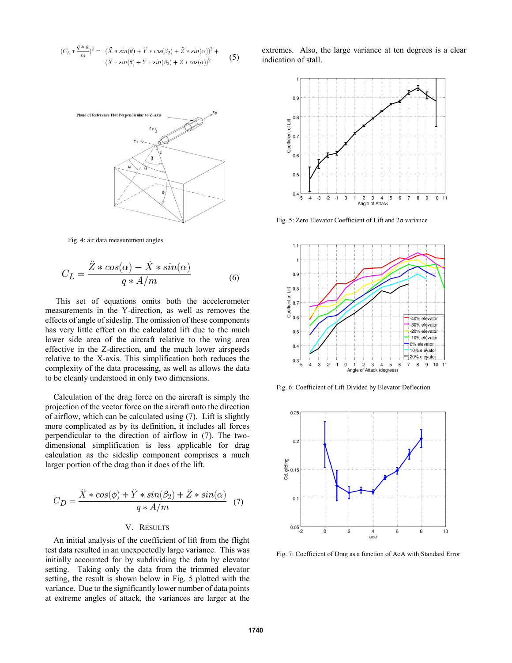$$
(C_L * \frac{q*a}{m})^2 = (\ddot{X} * sin(\theta) + \ddot{Y} * cos(\beta_2) + \ddot{Z} * sin(\alpha))^2 +
$$
  

$$
(\ddot{X} * sin(\theta) + \ddot{Y} * sin(\beta_2) + \ddot{Z} * cos(\alpha))^2
$$
 (5)



Fig. 4: air data measurement angles

$$
C_L = \frac{\ddot{Z} * \cos(\alpha) - \ddot{X} * \sin(\alpha)}{q * A/m}
$$
 (6)

This set of equations omits both the accelerometer measurements in the Y-direction, as well as removes the effects of angle of sideslip. The omission of these components has very little effect on the calculated lift due to the much lower side area of the aircraft relative to the wing area effective in the Z-direction, and the much lower airspeeds relative to the X-axis. This simplification both reduces the complexity of the data processing, as well as allows the data to be cleanly understood in only two dimensions.

Calculation of the drag force on the aircraft is simply the projection of the vector force on the aircraft onto the direction of airflow, which can be calculated using (7). Lift is slightly more complicated as by its definition, it includes all forces perpendicular to the direction of airflow in (7). The twodimensional simplification is less applicable for drag calculation as the sideslip component comprises a much larger portion of the drag than it does of the lift.

$$
C_D = \frac{\ddot{X} * \cos(\phi) + \ddot{Y} * \sin(\beta_2) + \ddot{Z} * \sin(\alpha)}{q * A/m} \tag{7}
$$

# V. RESULTS

An initial analysis of the coefficient of lift from the flight test data resulted in an unexpectedly large variance. This was initially accounted for by subdividing the data by elevator setting. Taking only the data from the trimmed elevator setting, the result is shown below in Fig. 5 plotted with the variance. Due to the significantly lower number of data points at extreme angles of attack, the variances are larger at the extremes. Also, the large variance at ten degrees is a clear indication of stall.



Fig. 5: Zero Elevator Coefficient of Lift and 2σ variance



Fig. 6: Coefficient of Lift Divided by Elevator Deflection



Fig. 7: Coefficient of Drag as a function of AoA with Standard Error